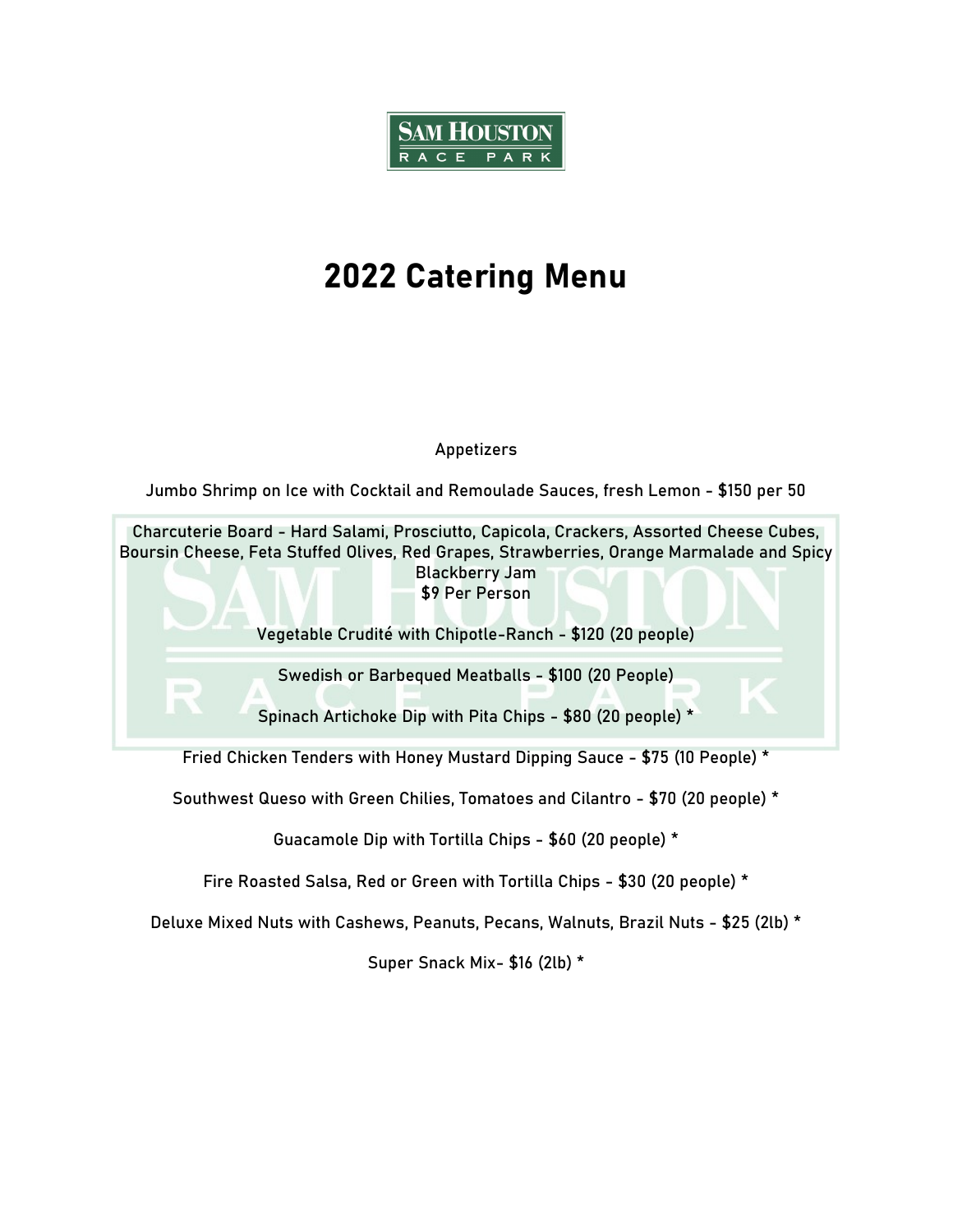

# 2022 Catering Menu

#### Appetizers

Jumbo Shrimp on Ice with Cocktail and Remoulade Sauces, fresh Lemon - \$150 per 50



Southwest Queso with Green Chilies, Tomatoes and Cilantro - \$70 (20 people) \*

Guacamole Dip with Tortilla Chips - \$60 (20 people) \*

Fire Roasted Salsa, Red or Green with Tortilla Chips - \$30 (20 people) \*

Deluxe Mixed Nuts with Cashews, Peanuts, Pecans, Walnuts, Brazil Nuts - \$25 (2lb) \*

Super Snack Mix- \$16 (2lb) \*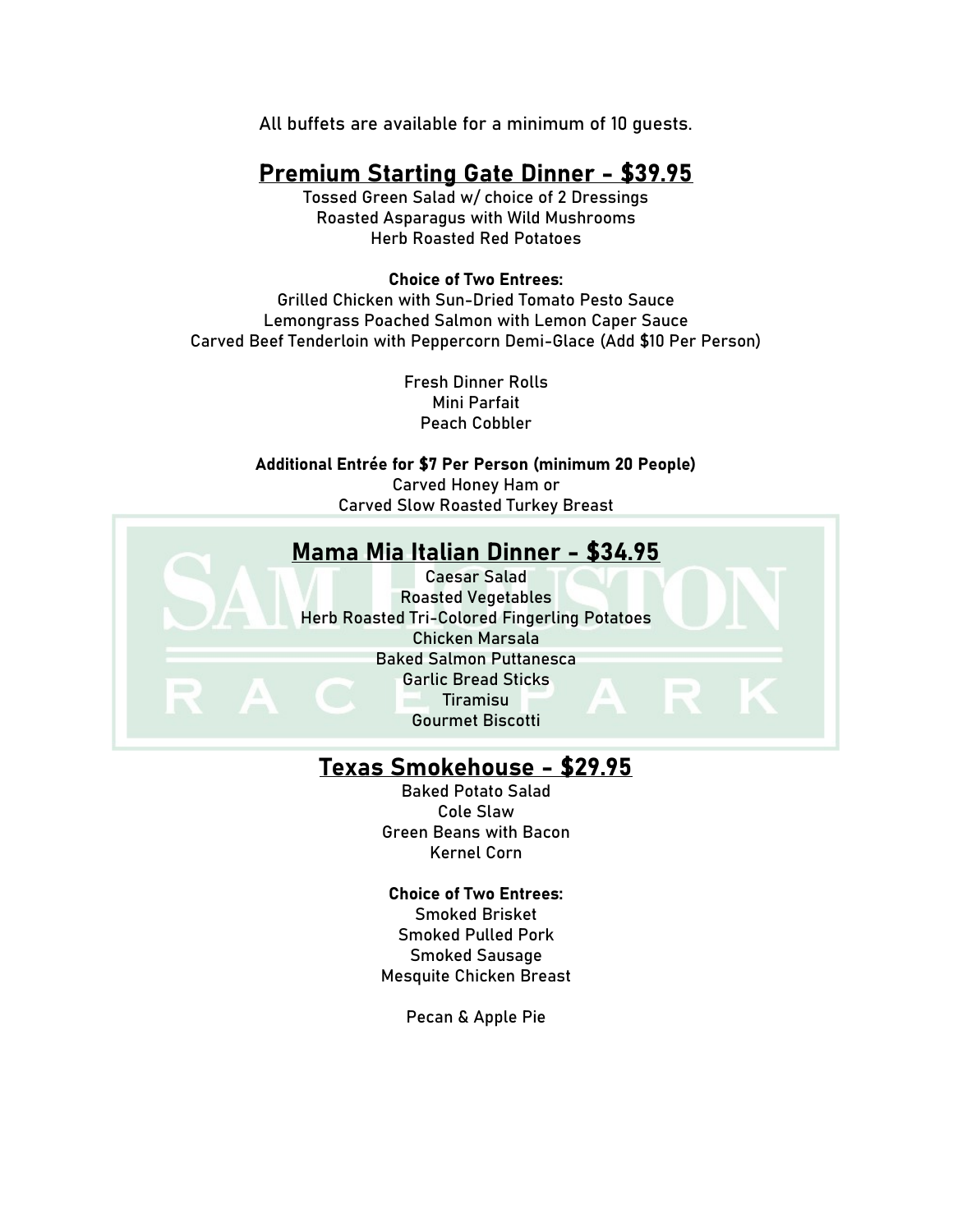All buffets are available for a minimum of 10 guests.

## Premium Starting Gate Dinner - \$39.95

Tossed Green Salad w/ choice of 2 Dressings Roasted Asparagus with Wild Mushrooms Herb Roasted Red Potatoes

#### Choice of Two Entrees:

Grilled Chicken with Sun-Dried Tomato Pesto Sauce Lemongrass Poached Salmon with Lemon Caper Sauce Carved Beef Tenderloin with Peppercorn Demi-Glace (Add \$10 Per Person)

> Fresh Dinner Rolls Mini Parfait Peach Cobbler

Additional Entrée for \$7 Per Person (minimum 20 People) Carved Honey Ham or Carved Slow Roasted Turkey Breast



#### Texas Smokehouse - \$29.95

Baked Potato Salad Cole Slaw Green Beans with Bacon Kernel Corn

#### Choice of Two Entrees:

Smoked Brisket Smoked Pulled Pork Smoked Sausage Mesquite Chicken Breast

Pecan & Apple Pie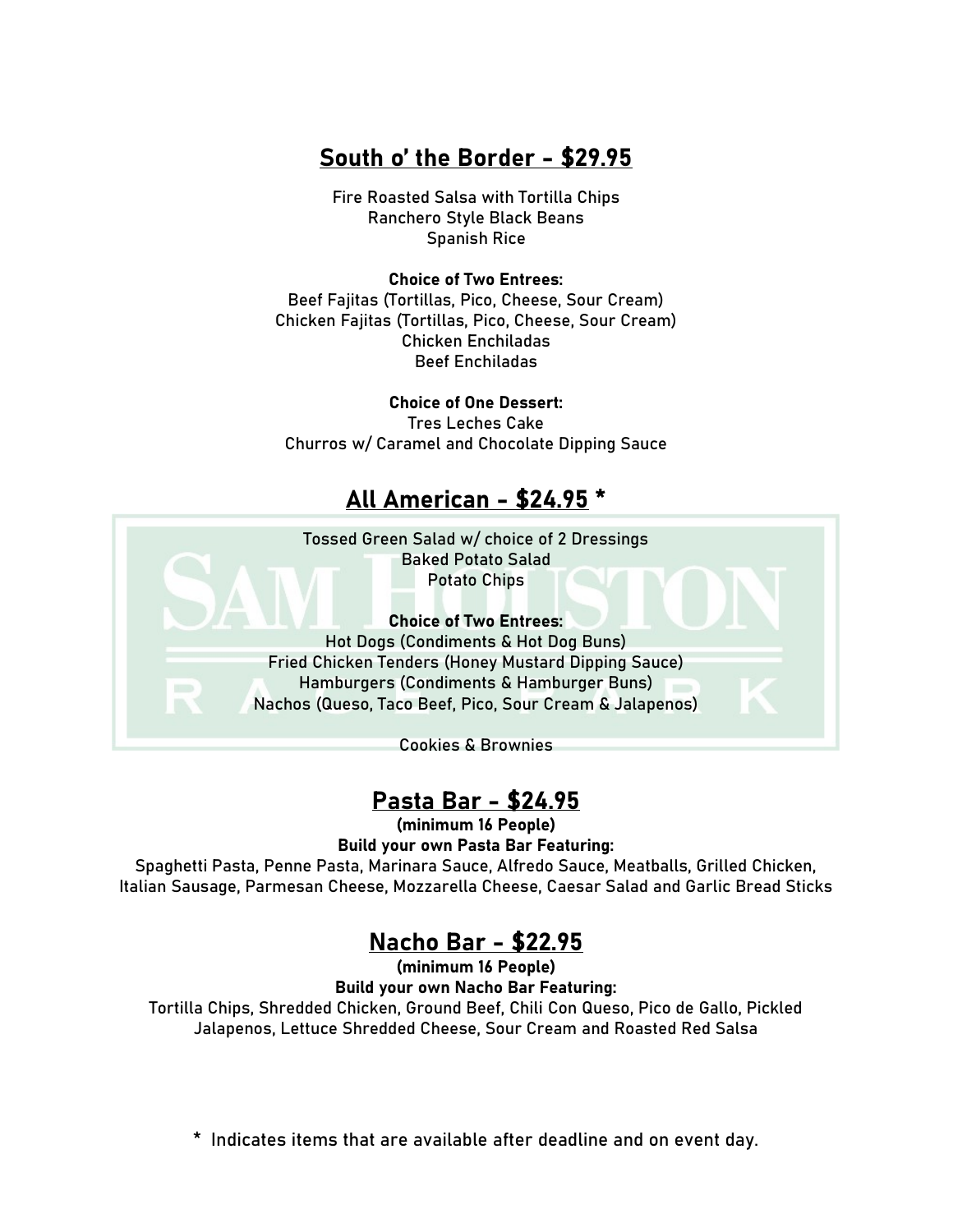## South o' the Border - \$29.95

Fire Roasted Salsa with Tortilla Chips Ranchero Style Black Beans Spanish Rice

#### Choice of Two Entrees:

Beef Fajitas (Tortillas, Pico, Cheese, Sour Cream) Chicken Fajitas (Tortillas, Pico, Cheese, Sour Cream) Chicken Enchiladas Beef Enchiladas

Choice of One Dessert: Tres Leches Cake Churros w/ Caramel and Chocolate Dipping Sauce

### All American - \$24.95 \*

Tossed Green Salad w/ choice of 2 Dressings Baked Potato Salad Potato Chips

Choice of Two Entrees: Hot Dogs (Condiments & Hot Dog Buns) Fried Chicken Tenders (Honey Mustard Dipping Sauce) Hamburgers (Condiments & Hamburger Buns) Nachos (Queso, Taco Beef, Pico, Sour Cream & Jalapenos)

Cookies & Brownies

## Pasta Bar - \$24.95

(minimum 16 People)

Build your own Pasta Bar Featuring:

Spaghetti Pasta, Penne Pasta, Marinara Sauce, Alfredo Sauce, Meatballs, Grilled Chicken, Italian Sausage, Parmesan Cheese, Mozzarella Cheese, Caesar Salad and Garlic Bread Sticks

## Nacho Bar - \$22.95

(minimum 16 People) Build your own Nacho Bar Featuring: Tortilla Chips, Shredded Chicken, Ground Beef, Chili Con Queso, Pico de Gallo, Pickled Jalapenos, Lettuce Shredded Cheese, Sour Cream and Roasted Red Salsa

\* Indicates items that are available after deadline and on event day.